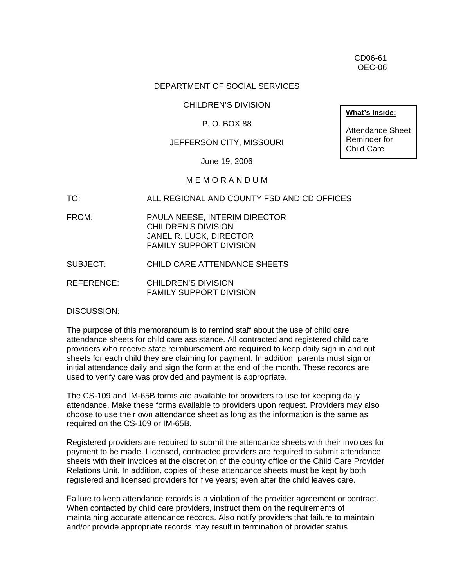CD06-61 OEC-06

### DEPARTMENT OF SOCIAL SERVICES

#### CHILDREN'S DIVISION

# P. O. BOX 88

# JEFFERSON CITY, MISSOURI

June 19, 2006

#### M E M O R A N D U M

TO: ALL REGIONAL AND COUNTY FSD AND CD OFFICES

- FROM: PAULA NEESE, INTERIM DIRECTOR CHILDREN'S DIVISION JANEL R. LUCK, DIRECTOR FAMILY SUPPORT DIVISION
- SUBJECT: CHILD CARE ATTENDANCE SHEETS
- REFERENCE: CHILDREN'S DIVISION FAMILY SUPPORT DIVISION

DISCUSSION:

The purpose of this memorandum is to remind staff about the use of child care attendance sheets for child care assistance. All contracted and registered child care providers who receive state reimbursement are **required** to keep daily sign in and out sheets for each child they are claiming for payment. In addition, parents must sign or initial attendance daily and sign the form at the end of the month. These records are used to verify care was provided and payment is appropriate.

The CS-109 and IM-65B forms are available for providers to use for keeping daily attendance. Make these forms available to providers upon request. Providers may also choose to use their own attendance sheet as long as the information is the same as required on the CS-109 or IM-65B.

Registered providers are required to submit the attendance sheets with their invoices for payment to be made. Licensed, contracted providers are required to submit attendance sheets with their invoices at the discretion of the county office or the Child Care Provider Relations Unit. In addition, copies of these attendance sheets must be kept by both registered and licensed providers for five years; even after the child leaves care.

Failure to keep attendance records is a violation of the provider agreement or contract. When contacted by child care providers, instruct them on the requirements of maintaining accurate attendance records. Also notify providers that failure to maintain and/or provide appropriate records may result in termination of provider status

**What's Inside:**

Attendance Sheet Reminder for Child Care